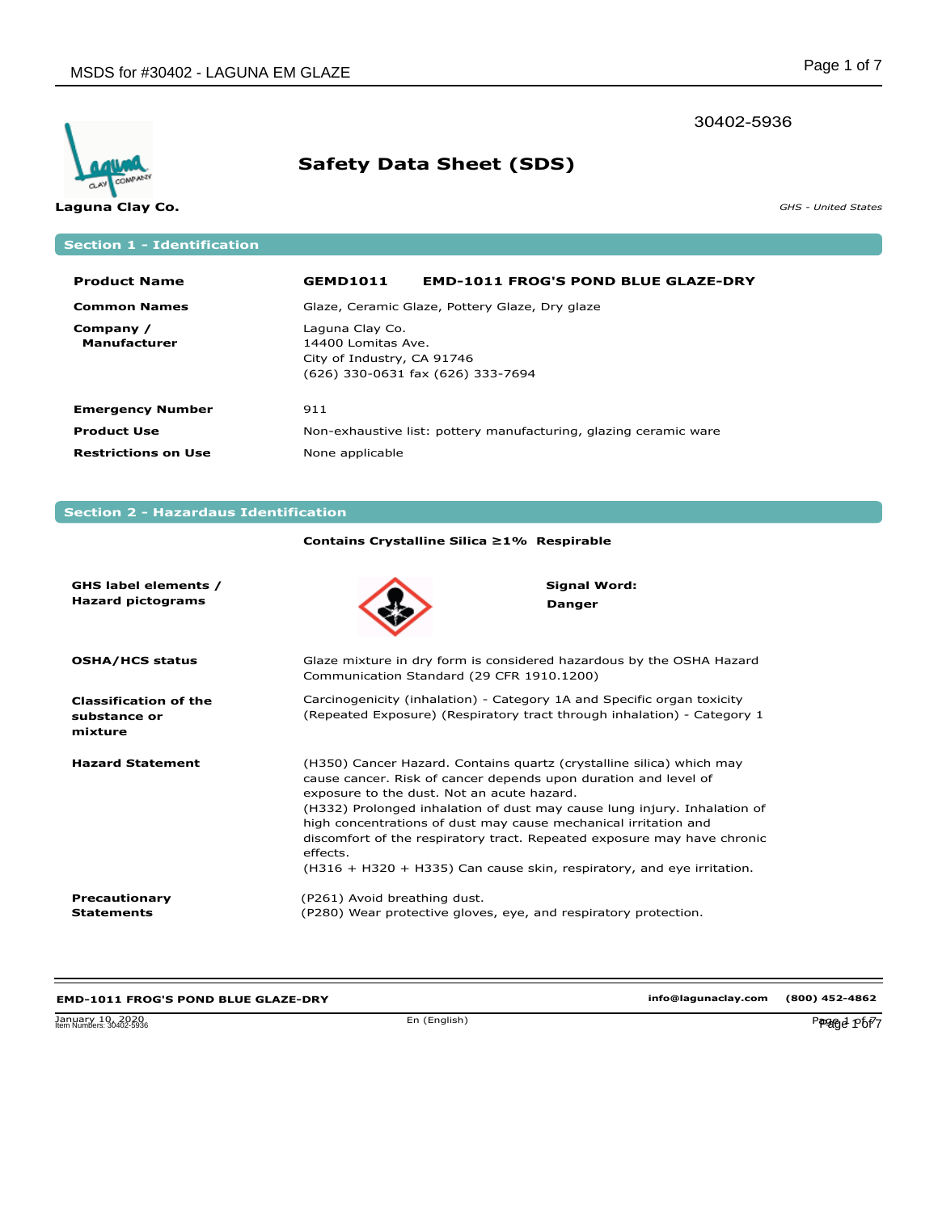### 30402-5936



# **Safety Data Sheet (SDS)**

**Laguna Clay Co. GHS - United States** 

## **Section 1 - Identification**

| <b>Product Name</b>              | <b>GEMD1011</b>                                                     | <b>EMD-1011 FROG'S POND BLUE GLAZE-DRY</b>                       |
|----------------------------------|---------------------------------------------------------------------|------------------------------------------------------------------|
| <b>Common Names</b>              |                                                                     | Glaze, Ceramic Glaze, Pottery Glaze, Dry glaze                   |
| Company /<br><b>Manufacturer</b> | Laguna Clay Co.<br>14400 Lomitas Ave.<br>City of Industry, CA 91746 | (626) 330-0631 fax (626) 333-7694                                |
| <b>Emergency Number</b>          | 911                                                                 |                                                                  |
| <b>Product Use</b>               |                                                                     | Non-exhaustive list: pottery manufacturing, glazing ceramic ware |
| <b>Restrictions on Use</b>       | None applicable                                                     |                                                                  |

### **Section 2 - Hazardaus Identification**

|                                                         | Contains Crystalline Silica ≥1% Respirable                                                                                                                                                                                                                                                                                                                                                                                                                                                           |                                      |
|---------------------------------------------------------|------------------------------------------------------------------------------------------------------------------------------------------------------------------------------------------------------------------------------------------------------------------------------------------------------------------------------------------------------------------------------------------------------------------------------------------------------------------------------------------------------|--------------------------------------|
| GHS label elements /<br><b>Hazard pictograms</b>        |                                                                                                                                                                                                                                                                                                                                                                                                                                                                                                      | <b>Signal Word:</b><br><b>Danger</b> |
| <b>OSHA/HCS status</b>                                  | Glaze mixture in dry form is considered hazardous by the OSHA Hazard<br>Communication Standard (29 CFR 1910.1200)                                                                                                                                                                                                                                                                                                                                                                                    |                                      |
| <b>Classification of the</b><br>substance or<br>mixture | Carcinogenicity (inhalation) - Category 1A and Specific organ toxicity<br>(Repeated Exposure) (Respiratory tract through inhalation) - Category 1                                                                                                                                                                                                                                                                                                                                                    |                                      |
| <b>Hazard Statement</b>                                 | (H350) Cancer Hazard. Contains quartz (crystalline silica) which may<br>cause cancer. Risk of cancer depends upon duration and level of<br>exposure to the dust. Not an acute hazard.<br>(H332) Prolonged inhalation of dust may cause lung injury. Inhalation of<br>high concentrations of dust may cause mechanical irritation and<br>discomfort of the respiratory tract. Repeated exposure may have chronic<br>effects.<br>(H316 + H320 + H335) Can cause skin, respiratory, and eye irritation. |                                      |
| Precautionary<br><b>Statements</b>                      | (P261) Avoid breathing dust.<br>(P280) Wear protective gloves, eye, and respiratory protection.                                                                                                                                                                                                                                                                                                                                                                                                      |                                      |

## **EMD-1011 FROG'S POND BLUE GLAZE-DRY**

January 10, 2020<br>Item Numbers: 30402-5936 Php - 2020 Page 1 of 7 of 8000 Page 1 of 7 of 8000 Page 1 of 7 of 7 of 7 of 7 of 7 of

**info@lagunaclay.com (800) 452-4862**

January 10, 2020 En (English) Page 1 of 7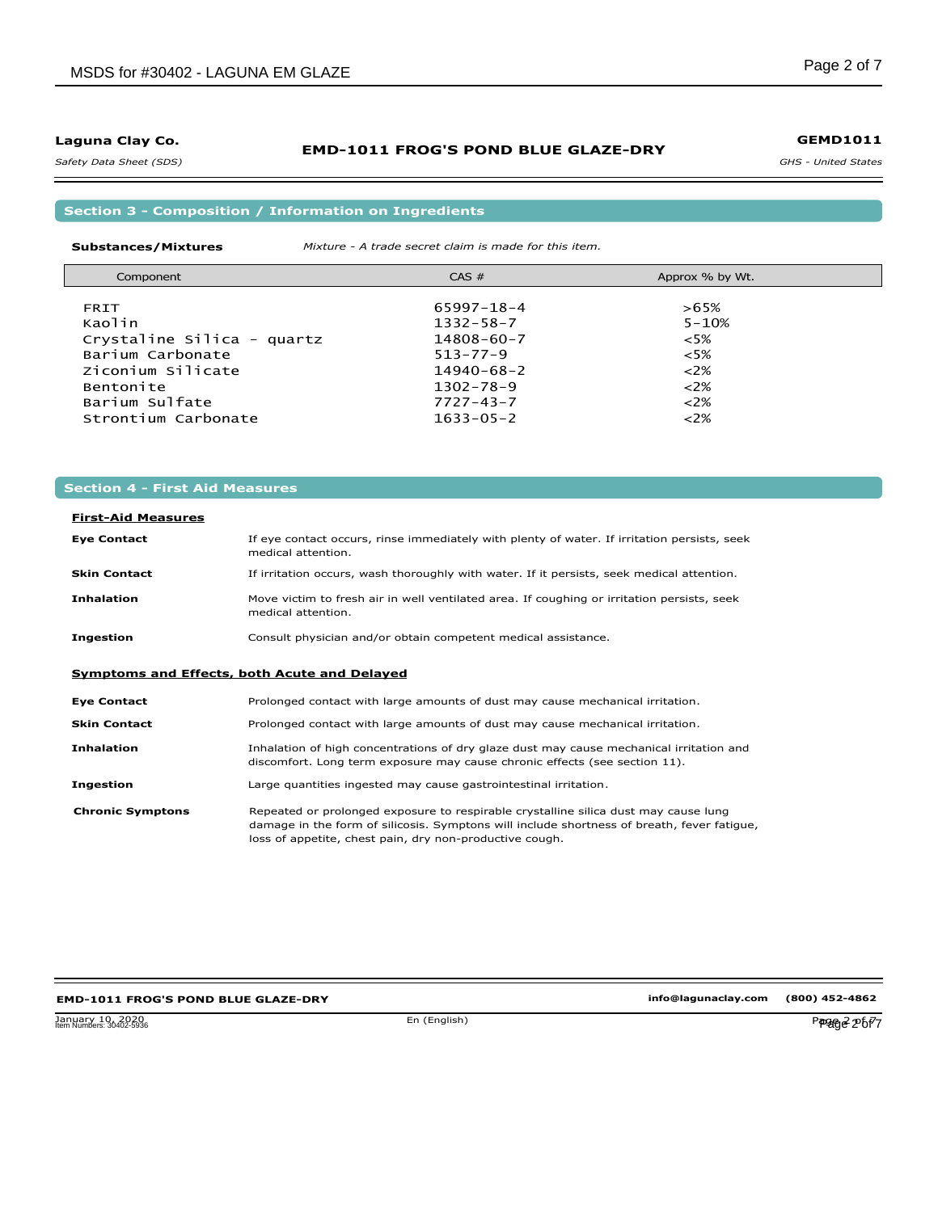*Safety Data Sheet (SDS)* 

### **EMD-1011 FROG'S POND BLUE GLAZE-DRY**

*GHS - United States* **GEMD1011**

**Section 3 - Composition / Information on Ingredients**

**Substances/Mixtures** *Mixture - A trade secret claim is made for this item.*

| Component                  | $CAS \#$         | Approx % by Wt. |  |
|----------------------------|------------------|-----------------|--|
| <b>FRIT</b>                | $65997 - 18 - 4$ | $>65\%$         |  |
| Kaolin                     | $1332 - 58 - 7$  | $5 - 10%$       |  |
| Crystaline Silica - quartz | $14808 - 60 - 7$ | $<5\%$          |  |
| Barium Carbonate           | $513 - 77 - 9$   | $<5\%$          |  |
| Ziconium Silicate          | $14940 - 68 - 2$ | $<2\%$          |  |
| Bentonite                  | $1302 - 78 - 9$  | $<2\%$          |  |
| Barium Sulfate             | $7727 - 43 - 7$  | $<2\%$          |  |
| Strontium Carbonate        | $1633 - 05 - 2$  | $<2\%$          |  |

### **Section 4 - First Aid Measures**

#### **Eye Contact First-Aid Measures**

| <b>Eye Contact</b>                           | If eye contact occurs, rinse immediately with plenty of water. If irritation persists, seek<br>medical attention. |
|----------------------------------------------|-------------------------------------------------------------------------------------------------------------------|
| <b>Skin Contact</b>                          | If irritation occurs, wash thoroughly with water. If it persists, seek medical attention.                         |
| <b>Inhalation</b>                            | Move victim to fresh air in well ventilated area. If coughing or irritation persists, seek<br>medical attention.  |
| <b>Ingestion</b>                             | Consult physician and/or obtain competent medical assistance.                                                     |
| Symptoms and Effects, both Acute and Delayed |                                                                                                                   |
| <b>Eye Contact</b>                           | Prolonged contact with large amounts of dust may cause mechanical irritation.                                     |
| <b>Skin Contact</b>                          | Prolonged contact with large amounts of dust may cause mechanical irritation.                                     |

**Inhalation** Inhalation of high concentrations of dry glaze dust may cause mechanical irritation and discomfort. Long term exposure may cause chronic effects (see section 11).

**Ingestion** Large quantities ingested may cause gastrointestinal irritation.

**Chronic Symptons** Repeated or prolonged exposure to respirable crystalline silica dust may cause lung damage in the form of silicosis. Symptons will include shortness of breath, fever fatigue, loss of appetite, chest pain, dry non-productive cough.

#### **EMD-1011 FROG'S POND BLUE GLAZE-DRY**

**info@lagunaclay.com (800) 452-4862**

January 10, 2020<br>Item Numbers: 30402-5936 En (English) P**P2fg***e* **2<sup>0</sup>bf<sup>7</sup>7** Item Numbers: 30402-5936 Page 2 of 7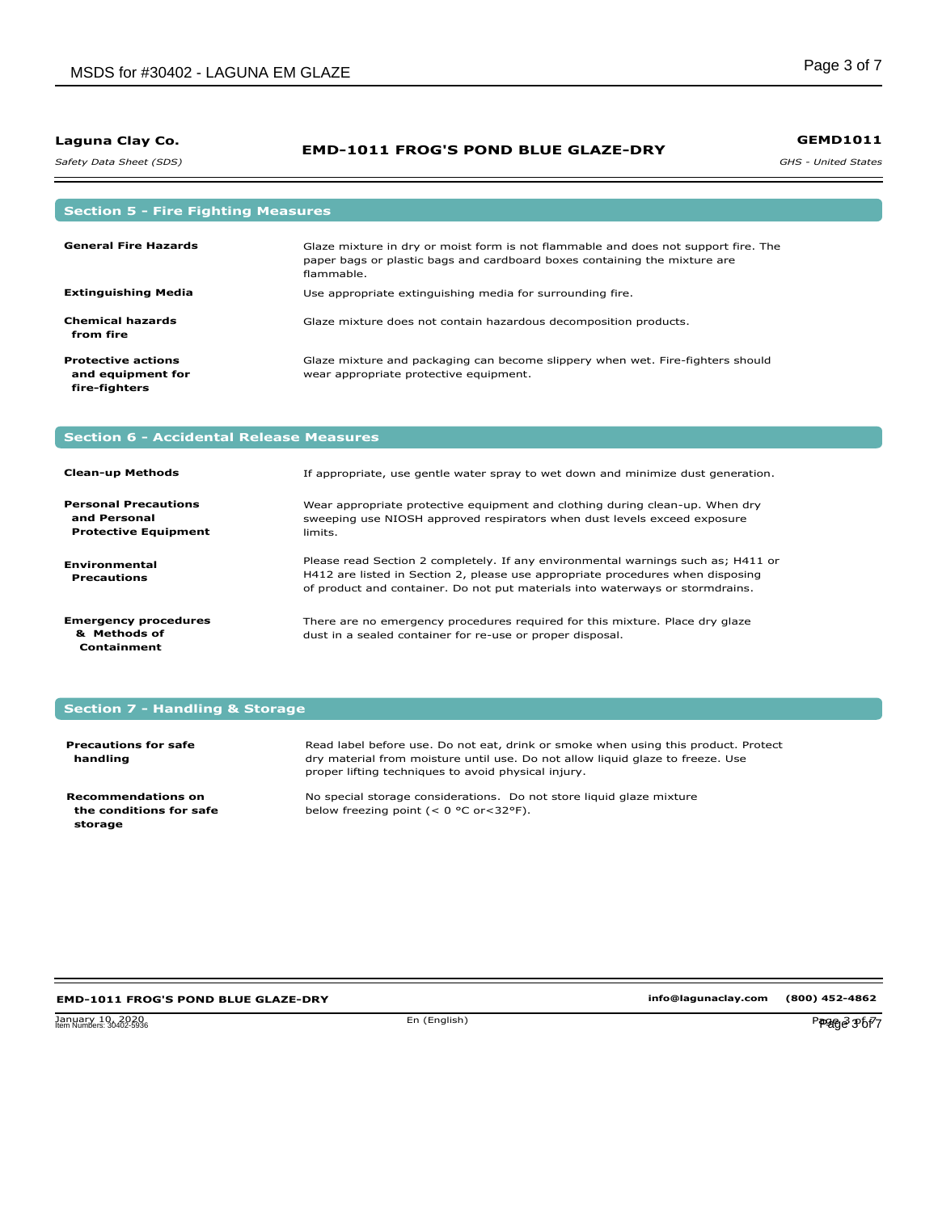*Safety Data Sheet (SDS)* 

### **EMD-1011 FROG'S POND BLUE GLAZE-DRY**

*GHS - United States* **GEMD1011**

| <b>Section 5 - Fire Fighting Measures</b>                       |                                                                                                                                                                               |
|-----------------------------------------------------------------|-------------------------------------------------------------------------------------------------------------------------------------------------------------------------------|
| <b>General Fire Hazards</b>                                     | Glaze mixture in dry or moist form is not flammable and does not support fire. The<br>paper bags or plastic bags and cardboard boxes containing the mixture are<br>flammable. |
| <b>Extinguishing Media</b>                                      | Use appropriate extinguishing media for surrounding fire.                                                                                                                     |
| <b>Chemical hazards</b><br>from fire                            | Glaze mixture does not contain hazardous decomposition products.                                                                                                              |
| <b>Protective actions</b><br>and equipment for<br>fire-fighters | Glaze mixture and packaging can become slippery when wet. Fire-fighters should<br>wear appropriate protective equipment.                                                      |

## **Section 6 - Accidental Release Measures**

| <b>Clean-up Methods</b>                                                    | If appropriate, use gentle water spray to wet down and minimize dust generation.                                                                                                                                                                    |
|----------------------------------------------------------------------------|-----------------------------------------------------------------------------------------------------------------------------------------------------------------------------------------------------------------------------------------------------|
| <b>Personal Precautions</b><br>and Personal<br><b>Protective Equipment</b> | Wear appropriate protective equipment and clothing during clean-up. When dry<br>sweeping use NIOSH approved respirators when dust levels exceed exposure<br>limits.                                                                                 |
| <b>Environmental</b><br><b>Precautions</b>                                 | Please read Section 2 completely. If any environmental warnings such as; H411 or<br>H412 are listed in Section 2, please use appropriate procedures when disposing<br>of product and container. Do not put materials into waterways or stormdrains. |
| <b>Emergency procedures</b><br>& Methods of<br>Containment                 | There are no emergency procedures required for this mixture. Place dry glaze<br>dust in a sealed container for re-use or proper disposal.                                                                                                           |

## **Section 7 - Handling & Storage**

| <b>Precautions for safe</b><br>handling                  | Read label before use. Do not eat, drink or smoke when using this product. Protect<br>dry material from moisture until use. Do not allow liquid glaze to freeze. Use<br>proper lifting techniques to avoid physical injury. |
|----------------------------------------------------------|-----------------------------------------------------------------------------------------------------------------------------------------------------------------------------------------------------------------------------|
| Recommendations on<br>the conditions for safe<br>storage | No special storage considerations. Do not store liquid glaze mixture<br>below freezing point ( $< 0$ °C or $< 32$ °F).                                                                                                      |

### **EMD-1011 FROG'S POND BLUE GLAZE-DRY**

Item Numbers: 30402-5936 Page 3 of 7

**info@lagunaclay.com (800) 452-4862**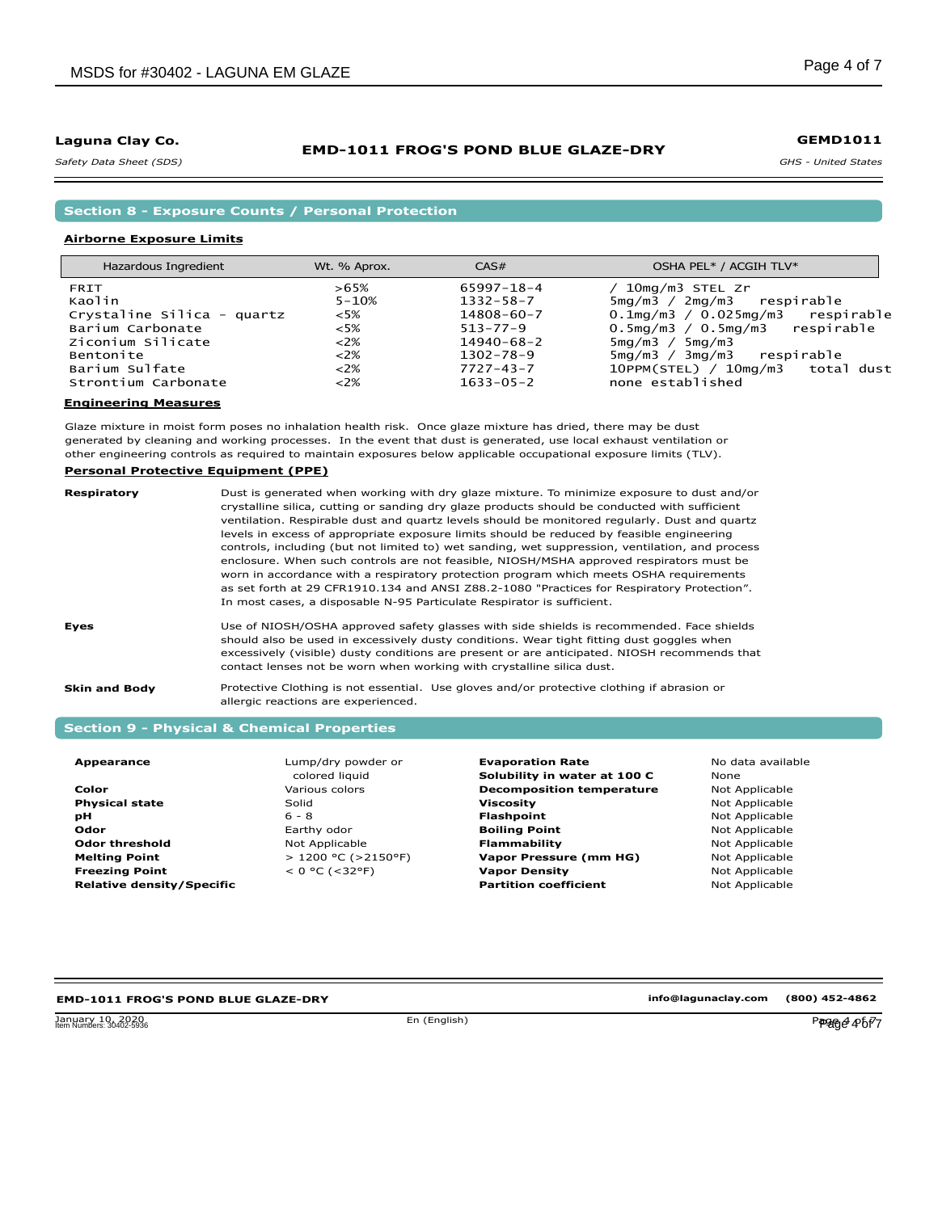*Safety Data Sheet (SDS)* 

### **EMD-1011 FROG'S POND BLUE GLAZE-DRY**

*GHS - United States*

**Section 8 - Exposure Counts / Personal Protection**

#### **Airborne Exposure Limits**

| Hazardous Ingredient       | Wt. % Aprox. | CAS#             | OSHA PEL* / ACGIH TLV*                   |
|----------------------------|--------------|------------------|------------------------------------------|
| FRIT                       | >65%         | 65997-18-4       | 10mg/m3 STEL Zr                          |
| Kaolin                     | $5 - 10%$    | $1332 - 58 - 7$  | 5mg/m3 / 2mg/m3 respirable               |
| Crystaline Silica - quartz | $<5\%$       | 14808-60-7       | $0.1$ mg/m $3/0.025$ mg/m $3$ respirable |
| Barium Carbonate           | $<5\%$       | $513 - 77 - 9$   | $0.5mg/m3 / 0.5mg/m3$ respirable         |
| Ziconium Silicate          | 22%          | $14940 - 68 - 2$ | 5mg/m3 / 5mg/m3                          |
| Bentonite                  | 22%          | $1302 - 78 - 9$  | 3mg/m3<br>$5ma/m3$ /<br>respirable       |
| Barium Sulfate             | 22%          | $7727 - 43 - 7$  | 10PPM(STEL) / 10mg/m3 total dust         |
| Strontium Carbonate        | 22%          | $1633 - 05 - 2$  | none established                         |

#### **Engineering Measures**

Glaze mixture in moist form poses no inhalation health risk. Once glaze mixture has dried, there may be dust generated by cleaning and working processes. In the event that dust is generated, use local exhaust ventilation or other engineering controls as required to maintain exposures below applicable occupational exposure limits (TLV).

#### **Personal Protective Equipment (PPE)**

| Respiratory   | Dust is generated when working with dry glaze mixture. To minimize exposure to dust and/or<br>crystalline silica, cutting or sanding dry glaze products should be conducted with sufficient<br>ventilation. Respirable dust and quartz levels should be monitored regularly. Dust and quartz<br>levels in excess of appropriate exposure limits should be reduced by feasible engineering<br>controls, including (but not limited to) wet sanding, wet suppression, ventilation, and process<br>enclosure. When such controls are not feasible, NIOSH/MSHA approved respirators must be<br>worn in accordance with a respiratory protection program which meets OSHA requirements<br>as set forth at 29 CFR1910.134 and ANSI Z88.2-1080 "Practices for Respiratory Protection".<br>In most cases, a disposable N-95 Particulate Respirator is sufficient. |
|---------------|-----------------------------------------------------------------------------------------------------------------------------------------------------------------------------------------------------------------------------------------------------------------------------------------------------------------------------------------------------------------------------------------------------------------------------------------------------------------------------------------------------------------------------------------------------------------------------------------------------------------------------------------------------------------------------------------------------------------------------------------------------------------------------------------------------------------------------------------------------------|
| <b>Eyes</b>   | Use of NIOSH/OSHA approved safety glasses with side shields is recommended. Face shields<br>should also be used in excessively dusty conditions. Wear tight fitting dust goggles when<br>excessively (visible) dusty conditions are present or are anticipated. NIOSH recommends that<br>contact lenses not be worn when working with crystalline silica dust.                                                                                                                                                                                                                                                                                                                                                                                                                                                                                            |
| Skin and Body | Protective Clothing is not essential. Use gloves and/or protective clothing if abrasion or<br>allergic reactions are experienced.                                                                                                                                                                                                                                                                                                                                                                                                                                                                                                                                                                                                                                                                                                                         |

## **Section 9 - Physical & Chemical Properties**

| Appearance                       | Lump/dry powder or         | <b>Evaporation Rate</b>          | No data available |
|----------------------------------|----------------------------|----------------------------------|-------------------|
|                                  | colored liguid             | Solubility in water at 100 C     | <b>None</b>       |
| Color                            | Various colors             | <b>Decomposition temperature</b> | Not Applicable    |
| <b>Physical state</b>            | Solid                      | Viscosity                        | Not Applicable    |
| рH                               | $6 - 8$                    | Flashpoint                       | Not Applicable    |
| <b>Odor</b>                      | Earthy odor                | <b>Boiling Point</b>             | Not Applicable    |
| <b>Odor threshold</b>            | Not Applicable             | <b>Flammability</b>              | Not Applicable    |
| <b>Melting Point</b>             | $> 1200$ °C ( $> 2150$ °F) | Vapor Pressure (mm HG)           | Not Applicable    |
| <b>Freezing Point</b>            | $< 0$ °C (<32°F)           | <b>Vapor Density</b>             | Not Applicable    |
| <b>Relative density/Specific</b> |                            | <b>Partition coefficient</b>     | Not Applicable    |

#### **EMD-1011 FROG'S POND BLUE GLAZE-DRY**

January 10, 2020 En (English) Page 4 of 7 Item Numbers: 30402-5936 Page 4 of 7

**info@lagunaclay.com (800) 452-4862**

**GEMD1011**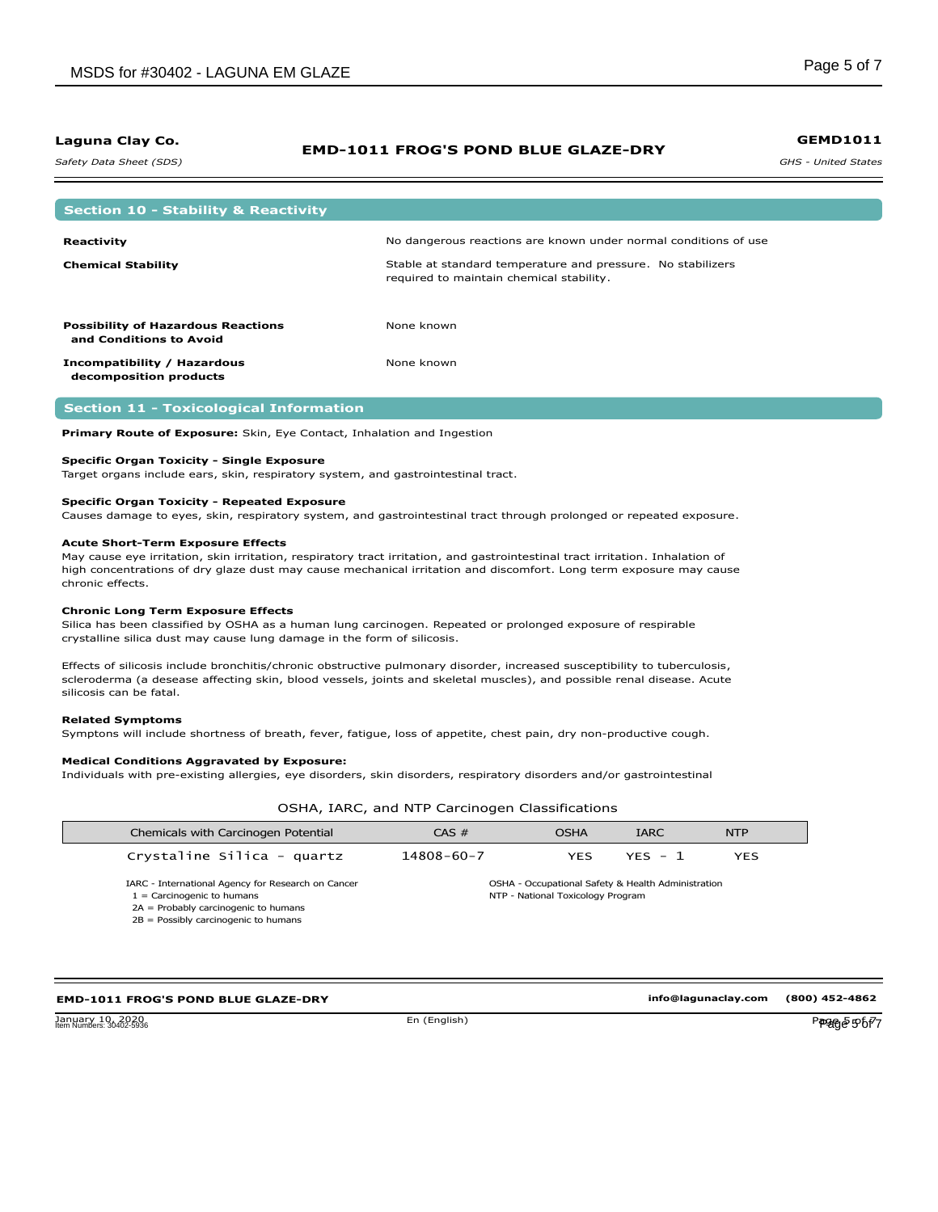*Safety Data Sheet (SDS)* 

#### **EMD-1011 FROG'S POND BLUE GLAZE-DRY**

*GHS - United States* **GEMD1011**

| <b>Section 10 - Stability &amp; Reactivity</b>                       |                                                                                                         |
|----------------------------------------------------------------------|---------------------------------------------------------------------------------------------------------|
|                                                                      |                                                                                                         |
| Reactivity                                                           | No dangerous reactions are known under normal conditions of use                                         |
| <b>Chemical Stability</b>                                            | Stable at standard temperature and pressure. No stabilizers<br>required to maintain chemical stability. |
| <b>Possibility of Hazardous Reactions</b><br>and Conditions to Avoid | None known                                                                                              |
| Incompatibility / Hazardous<br>decomposition products                | None known                                                                                              |

#### **Section 11 - Toxicological Information**

**Primary Route of Exposure:** Skin, Eye Contact, Inhalation and Ingestion

#### **Specific Organ Toxicity - Single Exposure**

Target organs include ears, skin, respiratory system, and gastrointestinal tract.

#### **Specific Organ Toxicity - Repeated Exposure**

Causes damage to eyes, skin, respiratory system, and gastrointestinal tract through prolonged or repeated exposure.

#### **Acute Short-Term Exposure Effects**

May cause eye irritation, skin irritation, respiratory tract irritation, and gastrointestinal tract irritation. Inhalation of high concentrations of dry glaze dust may cause mechanical irritation and discomfort. Long term exposure may cause chronic effects.

#### **Chronic Long Term Exposure Effects**

Silica has been classified by OSHA as a human lung carcinogen. Repeated or prolonged exposure of respirable crystalline silica dust may cause lung damage in the form of silicosis.

Effects of silicosis include bronchitis/chronic obstructive pulmonary disorder, increased susceptibility to tuberculosis, scleroderma (a desease affecting skin, blood vessels, joints and skeletal muscles), and possible renal disease. Acute silicosis can be fatal.

#### **Related Symptoms**

Symptons will include shortness of breath, fever, fatigue, loss of appetite, chest pain, dry non-productive cough.

#### **Medical Conditions Aggravated by Exposure:**

Individuals with pre-existing allergies, eye disorders, skin disorders, respiratory disorders and/or gastrointestinal

OSHA, IARC, and NTP Carcinogen Classifications

| Chemicals with Carcinogen Potential                                                                                          | CAS #            | <b>OSHA</b>                       | <b>IARC</b>                                        | <b>NTP</b> |
|------------------------------------------------------------------------------------------------------------------------------|------------------|-----------------------------------|----------------------------------------------------|------------|
| Crystaline Silica - quartz                                                                                                   | $14808 - 60 - 7$ | <b>YES</b>                        | $YFS - 1$                                          | <b>YES</b> |
| IARC - International Agency for Research on Cancer<br>$1 =$ Carcinogenic to humans<br>$2A =$ Probably carcinogenic to humans |                  | NTP - National Toxicology Program | OSHA - Occupational Safety & Health Administration |            |
| $2B =$ Possibly carcinogenic to humans                                                                                       |                  |                                   |                                                    |            |

#### **EMD-1011 FROG'S POND BLUE GLAZE-DRY**

January 10, 2020<br>Jianuary 10, 2020<br>Jian Numbers: 30402-5936

**info@lagunaclay.com (800) 452-4862**

Item Numbers: 30402-5936 Page 5 of 7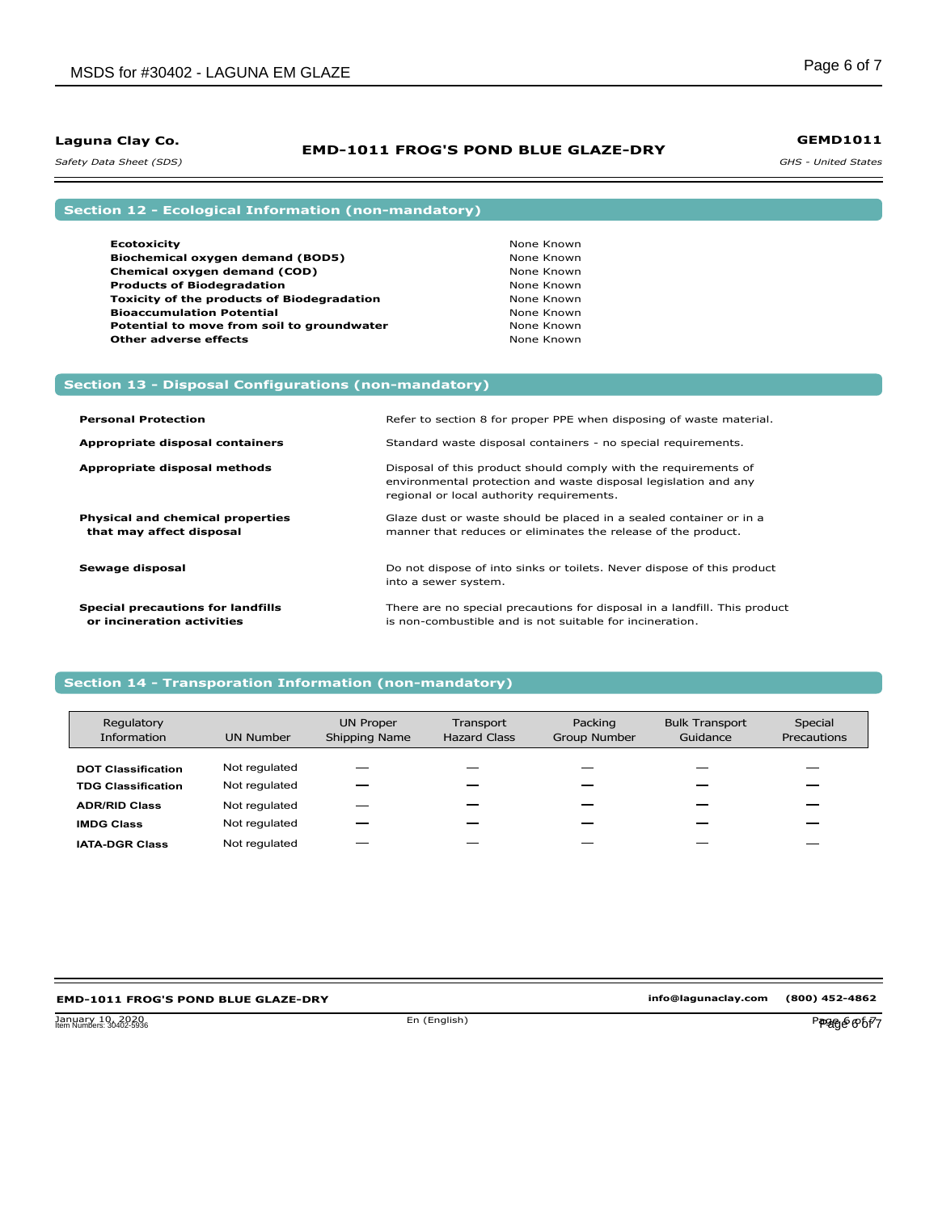### **EMD-1011 FROG'S POND BLUE GLAZE-DRY**

*GHS - United States* **GEMD1011**

*Safety Data Sheet (SDS)* 

## **Section 12 - Ecological Information (non-mandatory)**

**Section 13 - Disposal Configurations (non-mandatory)**

| <b>Ecotoxicity</b>                                | None Known |
|---------------------------------------------------|------------|
| Biochemical oxygen demand (BOD5)                  | None Known |
| Chemical oxygen demand (COD)                      | None Known |
| <b>Products of Biodegradation</b>                 | None Known |
| <b>Toxicity of the products of Biodegradation</b> | None Known |
| <b>Bioaccumulation Potential</b>                  | None Known |
| Potential to move from soil to groundwater        | None Known |
| <b>Other adverse effects</b>                      | None Known |

| <b>Personal Protection</b>                                             | Refer to section 8 for proper PPE when disposing of waste material.                                                                                                             |
|------------------------------------------------------------------------|---------------------------------------------------------------------------------------------------------------------------------------------------------------------------------|
| Appropriate disposal containers                                        | Standard waste disposal containers - no special requirements.                                                                                                                   |
| Appropriate disposal methods                                           | Disposal of this product should comply with the requirements of<br>environmental protection and waste disposal legislation and any<br>regional or local authority requirements. |
| <b>Physical and chemical properties</b><br>that may affect disposal    | Glaze dust or waste should be placed in a sealed container or in a<br>manner that reduces or eliminates the release of the product.                                             |
| Sewage disposal                                                        | Do not dispose of into sinks or toilets. Never dispose of this product<br>into a sewer system.                                                                                  |
| <b>Special precautions for landfills</b><br>or incineration activities | There are no special precautions for disposal in a landfill. This product<br>is non-combustible and is not suitable for incineration.                                           |

### **Section 14 - Transporation Information (non-mandatory)**

| Regulatory<br>Information | <b>UN Number</b> | <b>UN Proper</b><br>Shipping Name | Transport<br><b>Hazard Class</b> | Packing<br><b>Group Number</b> | <b>Bulk Transport</b><br>Guidance | Special<br>Precautions |
|---------------------------|------------------|-----------------------------------|----------------------------------|--------------------------------|-----------------------------------|------------------------|
| <b>DOT Classification</b> | Not regulated    |                                   |                                  |                                |                                   |                        |
| <b>TDG Classification</b> | Not regulated    |                                   |                                  |                                |                                   |                        |
| <b>ADR/RID Class</b>      | Not regulated    |                                   |                                  |                                |                                   |                        |
| <b>IMDG Class</b>         | Not regulated    |                                   |                                  |                                |                                   |                        |
| <b>IATA-DGR Class</b>     | Not regulated    |                                   |                                  |                                |                                   |                        |

## **EMD-1011 FROG'S POND BLUE GLAZE-DRY**

**info@lagunaclay.com (800) 452-4862**

January 10, 2020<br>Item Numbers: 30402-5936 Page 6 of 7 Item Numbers: 30402-5936 Page 6 of 7